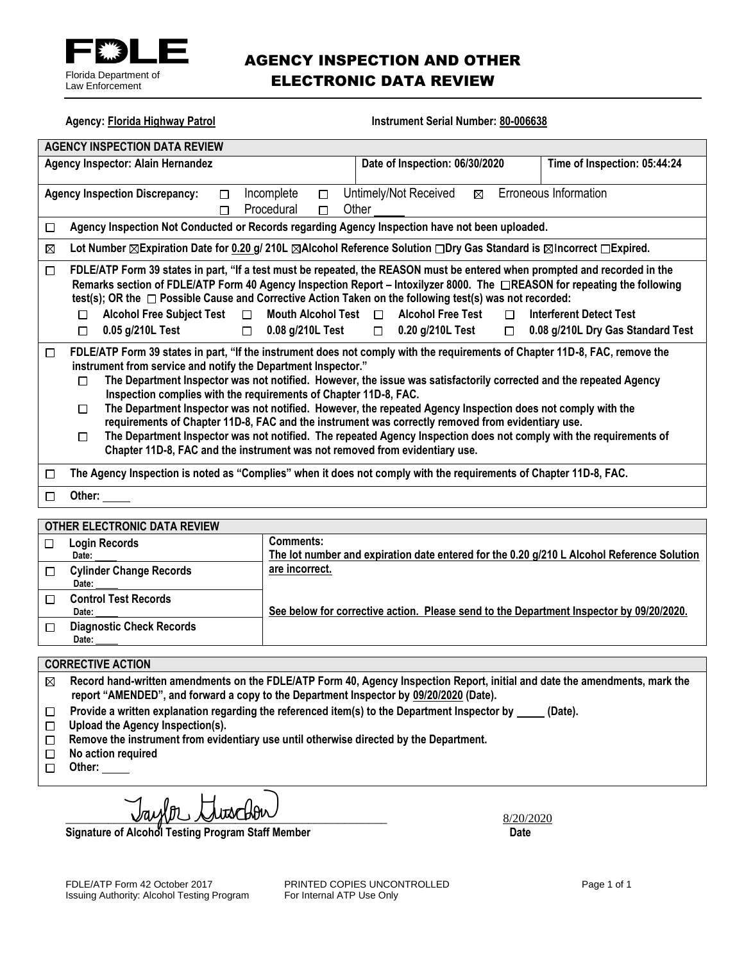

## AGENCY INSPECTION AND OTHER ELECTRONIC DATA REVIEW

| <b>Agency: Florida Highway Patrol</b>                                                               |                                                                                                                                                                                                                                                                                                                                                                                                                                                                                                                                                                                                                                                                                                                                                                                                                                |  | <b>Instrument Serial Number: 80-006638</b>                    |  |                              |  |
|-----------------------------------------------------------------------------------------------------|--------------------------------------------------------------------------------------------------------------------------------------------------------------------------------------------------------------------------------------------------------------------------------------------------------------------------------------------------------------------------------------------------------------------------------------------------------------------------------------------------------------------------------------------------------------------------------------------------------------------------------------------------------------------------------------------------------------------------------------------------------------------------------------------------------------------------------|--|---------------------------------------------------------------|--|------------------------------|--|
| <b>AGENCY INSPECTION DATA REVIEW</b>                                                                |                                                                                                                                                                                                                                                                                                                                                                                                                                                                                                                                                                                                                                                                                                                                                                                                                                |  |                                                               |  |                              |  |
| Agency Inspector: Alain Hernandez                                                                   |                                                                                                                                                                                                                                                                                                                                                                                                                                                                                                                                                                                                                                                                                                                                                                                                                                |  | Date of Inspection: 06/30/2020                                |  | Time of Inspection: 05:44:24 |  |
| Incomplete<br><b>Agency Inspection Discrepancy:</b><br>$\Box$<br>П<br>Procedural<br>Other<br>П<br>П |                                                                                                                                                                                                                                                                                                                                                                                                                                                                                                                                                                                                                                                                                                                                                                                                                                |  | Erroneous Information<br>Untimely/Not Received<br>$\boxtimes$ |  |                              |  |
| □                                                                                                   | Agency Inspection Not Conducted or Records regarding Agency Inspection have not been uploaded.                                                                                                                                                                                                                                                                                                                                                                                                                                                                                                                                                                                                                                                                                                                                 |  |                                                               |  |                              |  |
| ⊠                                                                                                   | Lot Number ⊠Expiration Date for 0.20 g/ 210L ⊠Alcohol Reference Solution □Dry Gas Standard is ⊠Incorrect □Expired.                                                                                                                                                                                                                                                                                                                                                                                                                                                                                                                                                                                                                                                                                                             |  |                                                               |  |                              |  |
| $\Box$                                                                                              | FDLE/ATP Form 39 states in part, "If a test must be repeated, the REASON must be entered when prompted and recorded in the<br>Remarks section of FDLE/ATP Form 40 Agency Inspection Report - Intoxilyzer 8000. The CREASON for repeating the following<br>test(s); OR the $\Box$ Possible Cause and Corrective Action Taken on the following test(s) was not recorded:<br><b>Alcohol Free Subject Test</b><br>Mouth Alcohol Test $\Box$<br><b>Alcohol Free Test</b><br><b>Interferent Detect Test</b><br>$\Box$<br>$\Box$<br>П<br>0.05 g/210L Test<br>0.08 g/210L Test<br>$\Box$ 0.20 g/210L Test<br>0.08 g/210L Dry Gas Standard Test<br>$\Box$<br>$\Box$<br>□                                                                                                                                                                |  |                                                               |  |                              |  |
| $\Box$                                                                                              | FDLE/ATP Form 39 states in part, "If the instrument does not comply with the requirements of Chapter 11D-8, FAC, remove the<br>instrument from service and notify the Department Inspector."<br>The Department Inspector was not notified. However, the issue was satisfactorily corrected and the repeated Agency<br>п<br>Inspection complies with the requirements of Chapter 11D-8, FAC.<br>The Department Inspector was not notified. However, the repeated Agency Inspection does not comply with the<br>П<br>requirements of Chapter 11D-8, FAC and the instrument was correctly removed from evidentiary use.<br>The Department Inspector was not notified. The repeated Agency Inspection does not comply with the requirements of<br>П<br>Chapter 11D-8, FAC and the instrument was not removed from evidentiary use. |  |                                                               |  |                              |  |
| □                                                                                                   | The Agency Inspection is noted as "Complies" when it does not comply with the requirements of Chapter 11D-8, FAC.                                                                                                                                                                                                                                                                                                                                                                                                                                                                                                                                                                                                                                                                                                              |  |                                                               |  |                              |  |
| □                                                                                                   | Other:                                                                                                                                                                                                                                                                                                                                                                                                                                                                                                                                                                                                                                                                                                                                                                                                                         |  |                                                               |  |                              |  |
| OTHER ELECTRONIC DATA REVIEW                                                                        |                                                                                                                                                                                                                                                                                                                                                                                                                                                                                                                                                                                                                                                                                                                                                                                                                                |  |                                                               |  |                              |  |
|                                                                                                     |                                                                                                                                                                                                                                                                                                                                                                                                                                                                                                                                                                                                                                                                                                                                                                                                                                |  |                                                               |  |                              |  |

|   | <u>UTHER LEEUTRUNG DATA REVIEW</u>       |                                                                                            |  |  |  |
|---|------------------------------------------|--------------------------------------------------------------------------------------------|--|--|--|
| П | Login Records                            | <b>Comments:</b>                                                                           |  |  |  |
|   | Date:                                    | The lot number and expiration date entered for the 0.20 g/210 L Alcohol Reference Solution |  |  |  |
|   | <b>Cylinder Change Records</b><br>Date:  | are incorrect.                                                                             |  |  |  |
|   | <b>Control Test Records</b><br>Date:     | See below for corrective action. Please send to the Department Inspector by 09/20/2020.    |  |  |  |
| П | <b>Diagnostic Check Records</b><br>Date: |                                                                                            |  |  |  |

## **CORRECTIVE ACTION**

| $\boxtimes$ Record hand-written amendments on the FDLE/ATP Form 40, Agency Inspection Report, initial and date the amendments, mark the |
|-----------------------------------------------------------------------------------------------------------------------------------------|
| report "AMENDED", and forward a copy to the Department Inspector by 09/20/2020 (Date).                                                  |

- Provide a written explanation regarding the referenced item(s) to the Department Inspector by \_\_\_\_\_ (Date).  $\Box$
- **Upload the Agency Inspection(s).**
- **Remove the instrument from evidentiary use until otherwise directed by the Department.**
- **No action required**  $\Box$
- □ Other:

 $Jay\ell p$   $Jux\ell b\ell v$ 

**Signature of Alcohol Testing Program Staff Member Date Constraining Date Date** 

Issuing Authority: Alcohol Testing Program

FDLE/ATP Form 42 October 2017 **PRINTED COPIES UNCONTROLLED** Page 1 of 1<br>
Issuing Authority: Alcohol Testing Program For Internal ATP Use Only